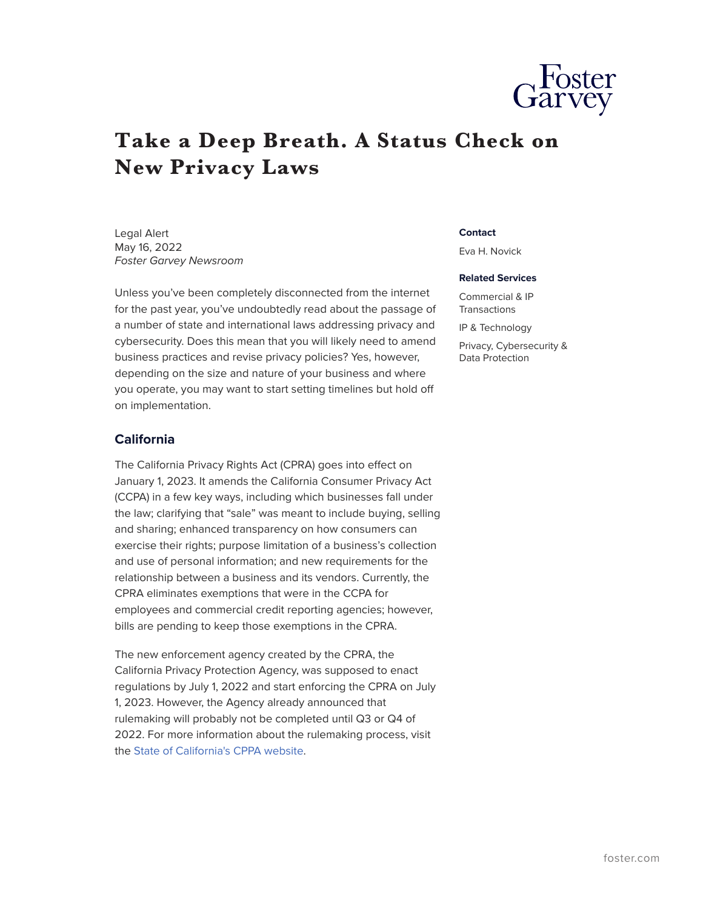

# **Take a Deep Breath. A Status Check on New Privacy Laws**

Legal Alert May 16, 2022 *Foster Garvey Newsroom*

Unless you've been completely disconnected from the internet for the past year, you've undoubtedly read about the passage of a number of state and international laws addressing privacy and cybersecurity. Does this mean that you will likely need to amend business practices and revise privacy policies? Yes, however, depending on the size and nature of your business and where you operate, you may want to start setting timelines but hold off on implementation.

## **California**

The California Privacy Rights Act (CPRA) goes into effect on January 1, 2023. It amends the California Consumer Privacy Act (CCPA) in a few key ways, including which businesses fall under the law; clarifying that "sale" was meant to include buying, selling and sharing; enhanced transparency on how consumers can exercise their rights; purpose limitation of a business's collection and use of personal information; and new requirements for the relationship between a business and its vendors. Currently, the CPRA eliminates exemptions that were in the CCPA for employees and commercial credit reporting agencies; however, bills are pending to keep those exemptions in the CPRA.

The new enforcement agency created by the CPRA, the California Privacy Protection Agency, was supposed to enact regulations by July 1, 2022 and start enforcing the CPRA on July 1, 2023. However, the Agency already announced that rulemaking will probably not be completed until Q3 or Q4 of 2022. For more information about the rulemaking process, visit the [State of California's CPPA website](https://cppa.ca.gov/regulations/).

#### **Contact**

Eva H. Novick

#### **Related Services**

Commercial & IP Transactions

IP & Technology

Privacy, Cybersecurity & Data Protection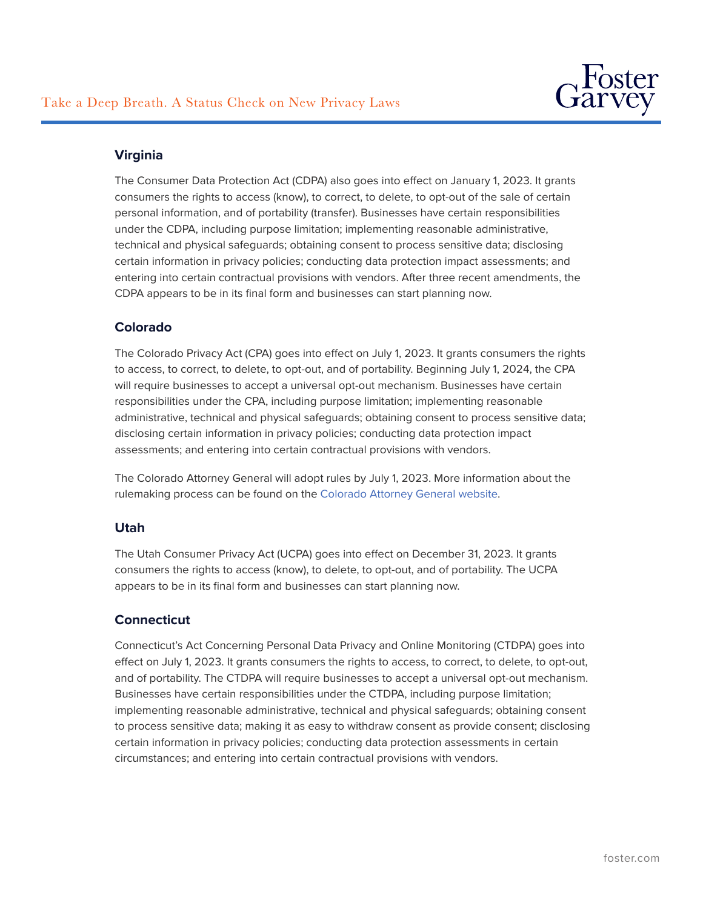

# **Virginia**

The Consumer Data Protection Act (CDPA) also goes into effect on January 1, 2023. It grants consumers the rights to access (know), to correct, to delete, to opt-out of the sale of certain personal information, and of portability (transfer). Businesses have certain responsibilities under the CDPA, including purpose limitation; implementing reasonable administrative, technical and physical safeguards; obtaining consent to process sensitive data; disclosing certain information in privacy policies; conducting data protection impact assessments; and entering into certain contractual provisions with vendors. After three recent amendments, the CDPA appears to be in its final form and businesses can start planning now.

## **Colorado**

The Colorado Privacy Act (CPA) goes into effect on July 1, 2023. It grants consumers the rights to access, to correct, to delete, to opt-out, and of portability. Beginning July 1, 2024, the CPA will require businesses to accept a universal opt-out mechanism. Businesses have certain responsibilities under the CPA, including purpose limitation; implementing reasonable administrative, technical and physical safeguards; obtaining consent to process sensitive data; disclosing certain information in privacy policies; conducting data protection impact assessments; and entering into certain contractual provisions with vendors.

The Colorado Attorney General will adopt rules by July 1, 2023. More information about the rulemaking process can be found on the [Colorado Attorney General website.](https://coag.gov/resources/colorado-privacy-act/)

## **Utah**

The Utah Consumer Privacy Act (UCPA) goes into effect on December 31, 2023. It grants consumers the rights to access (know), to delete, to opt-out, and of portability. The UCPA appears to be in its final form and businesses can start planning now.

## **Connecticut**

Connecticut's Act Concerning Personal Data Privacy and Online Monitoring (CTDPA) goes into effect on July 1, 2023. It grants consumers the rights to access, to correct, to delete, to opt-out, and of portability. The CTDPA will require businesses to accept a universal opt-out mechanism. Businesses have certain responsibilities under the CTDPA, including purpose limitation; implementing reasonable administrative, technical and physical safeguards; obtaining consent to process sensitive data; making it as easy to withdraw consent as provide consent; disclosing certain information in privacy policies; conducting data protection assessments in certain circumstances; and entering into certain contractual provisions with vendors.